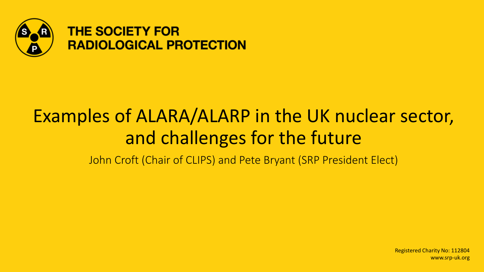

## Examples of ALARA/ALARP in the UK nuclear sector, and challenges for the future

John Croft (Chair of CLIPS) and Pete Bryant (SRP President Elect)

Registered Charity No: 112804 www.srp-uk.org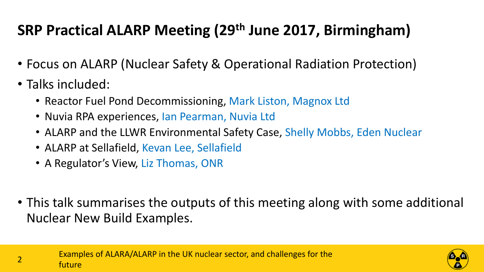## **SRP Practical ALARP Meeting (29th June 2017, Birmingham)**

- Focus on ALARP (Nuclear Safety & Operational Radiation Protection)
- Talks included:
	- Reactor Fuel Pond Decommissioning, Mark Liston, Magnox Ltd
	- Nuvia RPA experiences, Ian Pearman, Nuvia Ltd
	- ALARP and the LLWR Environmental Safety Case, Shelly Mobbs, Eden Nuclear
	- ALARP at Sellafield, Kevan Lee, Sellafield
	- A Regulator's View, Liz Thomas, ONR
- This talk summarises the outputs of this meeting along with some additional Nuclear New Build Examples.

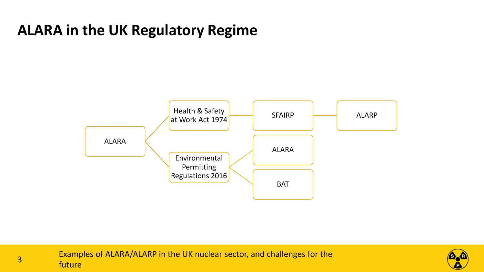

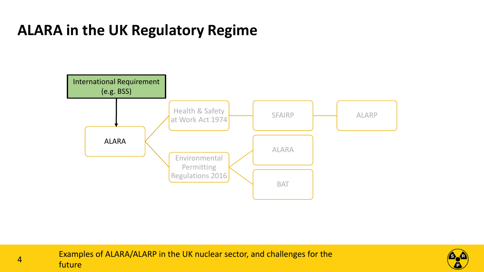

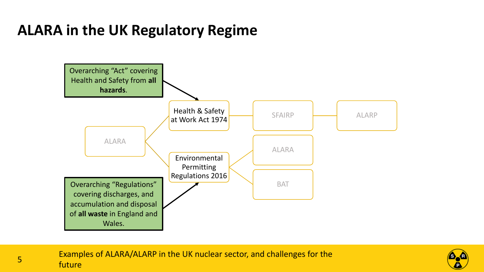

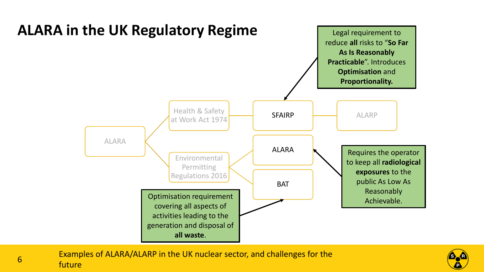

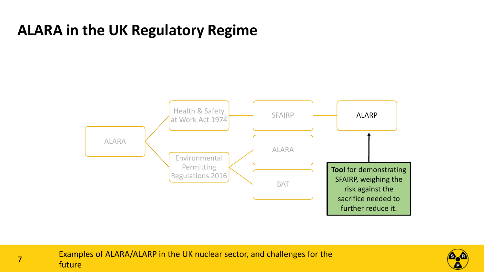

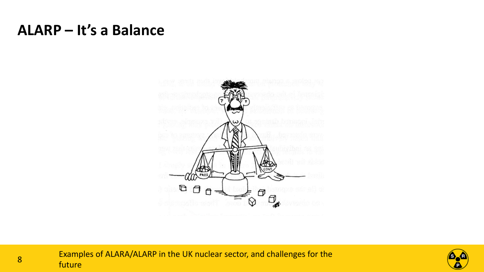#### **ALARP – It's a Balance**



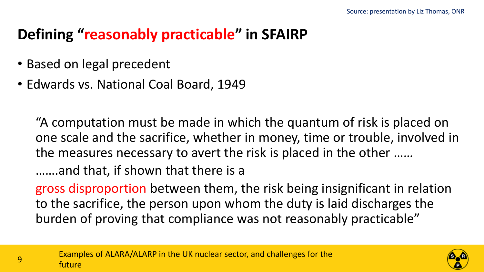## **Defining "reasonably practicable" in SFAIRP**

- Based on legal precedent
- Edwards vs. National Coal Board, 1949

"A computation must be made in which the quantum of risk is placed on one scale and the sacrifice, whether in money, time or trouble, involved in the measures necessary to avert the risk is placed in the other ……

…….and that, if shown that there is a

gross disproportion between them, the risk being insignificant in relation to the sacrifice, the person upon whom the duty is laid discharges the burden of proving that compliance was not reasonably practicable"

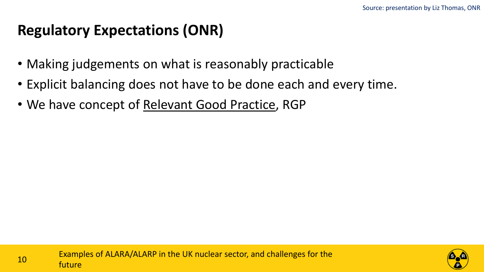#### **Regulatory Expectations (ONR)**

- Making judgements on what is reasonably practicable
- Explicit balancing does not have to be done each and every time.
- We have concept of Relevant Good Practice, RGP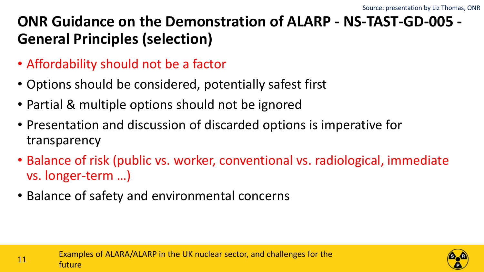## **ONR Guidance on the Demonstration of ALARP - NS-TAST-GD-005 - General Principles (selection)**

- Affordability should not be a factor
- Options should be considered, potentially safest first
- Partial & multiple options should not be ignored
- Presentation and discussion of discarded options is imperative for transparency
- Balance of risk (public vs. worker, conventional vs. radiological, immediate vs. longer-term …)
- Balance of safety and environmental concerns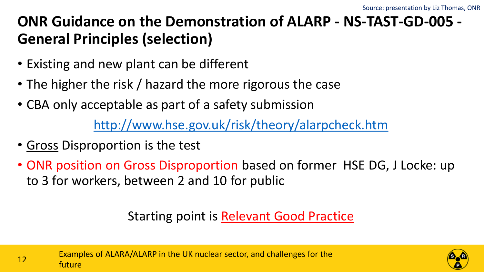## **ONR Guidance on the Demonstration of ALARP - NS-TAST-GD-005 - General Principles (selection)**

- Existing and new plant can be different
- The higher the risk / hazard the more rigorous the case
- CBA only acceptable as part of a safety submission

<http://www.hse.gov.uk/risk/theory/alarpcheck.htm>

- Gross Disproportion is the test
- ONR position on Gross Disproportion based on former HSE DG, J Locke: up to 3 for workers, between 2 and 10 for public

#### Starting point is Relevant Good Practice



Examples of ALARA/ALARP in the UK nuclear sector, and challenges for the 12 Examp

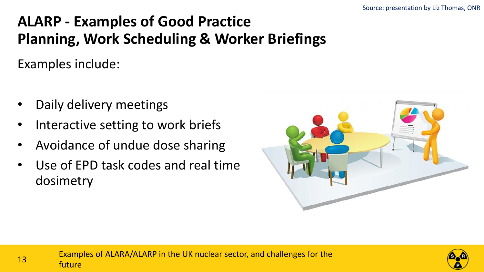## **ALARP - Examples of Good Practice Planning, Work Scheduling & Worker Briefings**

Examples include:

- Daily delivery meetings
- Interactive setting to work briefs
- Avoidance of undue dose sharing
- Use of EPD task codes and real time dosimetry



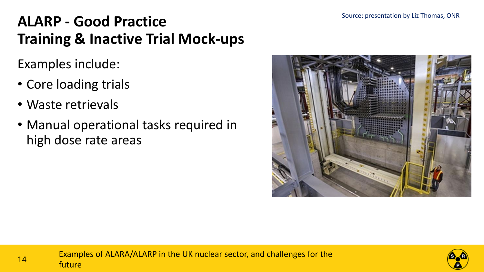## **ALARP - Good Practice Training & Inactive Trial Mock-ups**

Examples include:

- Core loading trials
- Waste retrievals
- Manual operational tasks required in high dose rate areas



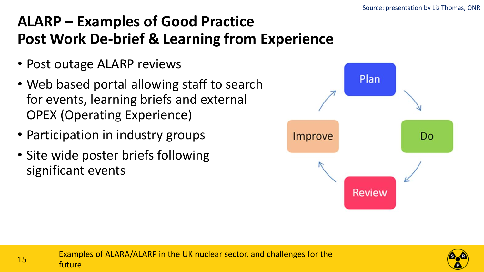## **ALARP – Examples of Good Practice Post Work De-brief & Learning from Experience**

- Post outage ALARP reviews
- Web based portal allowing staff to search for events, learning briefs and external OPEX (Operating Experience)
- Participation in industry groups
- Site wide poster briefs following significant events



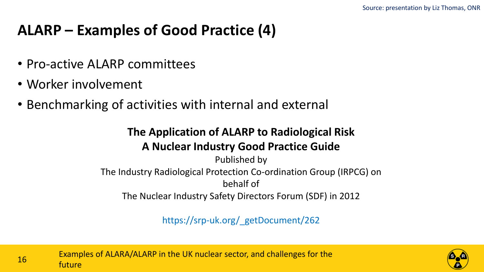#### **ALARP – Examples of Good Practice (4)**

- Pro-active ALARP committees
- Worker involvement
- Benchmarking of activities with internal and external

#### **The Application of ALARP to Radiological Risk A Nuclear Industry Good Practice Guide**

Published by The Industry Radiological Protection Co-ordination Group (IRPCG) on behalf of The Nuclear Industry Safety Directors Forum (SDF) in 2012

https://srp-uk.org/\_getDocument/262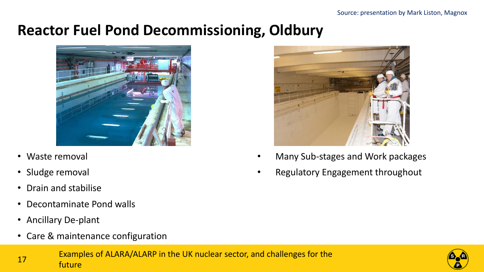#### **Reactor Fuel Pond Decommissioning, Oldbury**



- Waste removal
- Sludge removal
- Drain and stabilise
- Decontaminate Pond walls
- Ancillary De-plant
- Care & maintenance configuration



- Many Sub-stages and Work packages
- Regulatory Engagement throughout

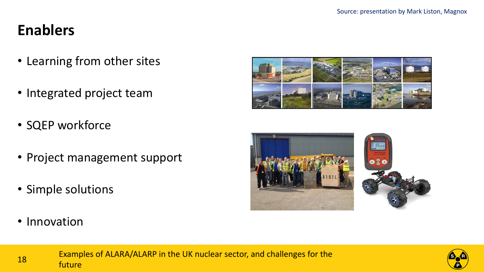## **Enablers**

- Learning from other sites
- Integrated project team
- SQEP workforce
- Project management support
- Simple solutions
- Innovation







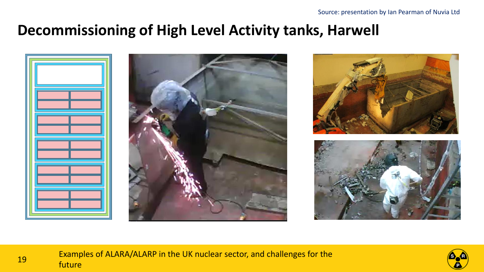#### **Decommissioning of High Level Activity tanks, Harwell**



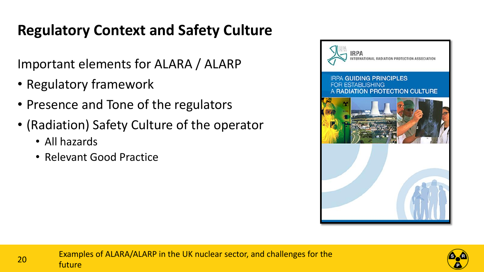## **Regulatory Context and Safety Culture**

Important elements for ALARA / ALARP

- Regulatory framework
- Presence and Tone of the regulators
- (Radiation) Safety Culture of the operator
	- All hazards
	- Relevant Good Practice



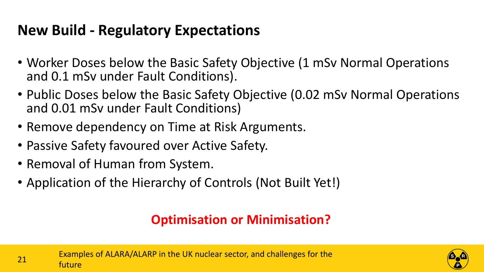## **New Build - Regulatory Expectations**

- Worker Doses below the Basic Safety Objective (1 mSv Normal Operations and 0.1 mSv under Fault Conditions).
- Public Doses below the Basic Safety Objective (0.02 mSv Normal Operations and 0.01 mSv under Fault Conditions)
- Remove dependency on Time at Risk Arguments.
- Passive Safety favoured over Active Safety.
- Removal of Human from System.
- Application of the Hierarchy of Controls (Not Built Yet!)

## **Optimisation or Minimisation?**

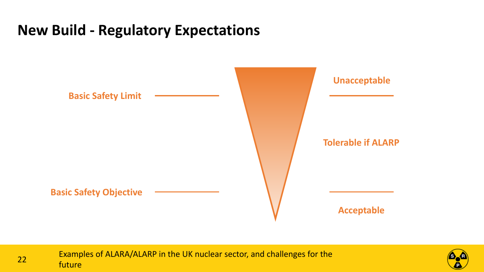## **New Build - Regulatory Expectations**



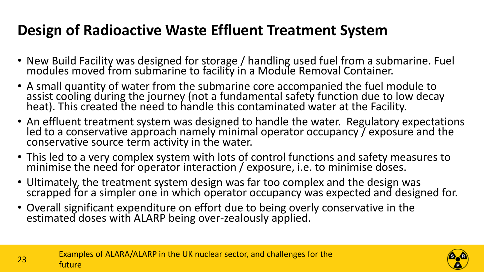## **Design of Radioactive Waste Effluent Treatment System**

- New Build Facility was designed for storage / handling used fuel from a submarine. Fuel modules moved from submarine to facility in a Module Removal Container.
- A small quantity of water from the submarine core accompanied the fuel module to assist cooling during the journey (not a fundamental safety function due to low decay heat). This created the need to handle this contaminated water at the Facility.
- An effluent treatment system was designed to handle the water. Regulatory expectations led to a conservative approach namely minimal operator occupancy / exposure and the conservative source term activity in the water.
- This led to a very complex system with lots of control functions and safety measures to minimise the need for operator interaction / exposure, i.e. to minimise doses.
- Ultimately, the treatment system design was far too complex and the design was scrapped for a simpler one in which operator occupancy was expected and designed for.
- Overall significant expenditure on effort due to being overly conservative in the estimated doses with ALARP being over-zealously applied.



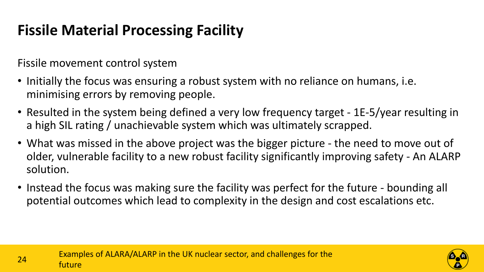## **Fissile Material Processing Facility**

Fissile movement control system

- Initially the focus was ensuring a robust system with no reliance on humans, i.e. minimising errors by removing people.
- Resulted in the system being defined a very low frequency target 1E-5/year resulting in a high SIL rating / unachievable system which was ultimately scrapped.
- What was missed in the above project was the bigger picture the need to move out of older, vulnerable facility to a new robust facility significantly improving safety - An ALARP solution.
- Instead the focus was making sure the facility was perfect for the future bounding all potential outcomes which lead to complexity in the design and cost escalations etc.



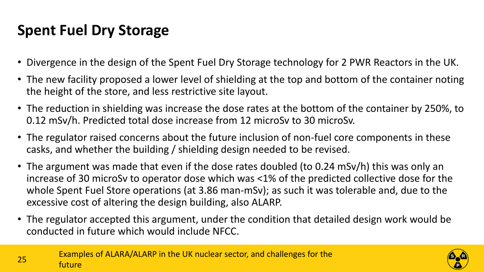## **Spent Fuel Dry Storage**

- Divergence in the design of the Spent Fuel Dry Storage technology for 2 PWR Reactors in the UK.
- The new facility proposed a lower level of shielding at the top and bottom of the container noting the height of the store, and less restrictive site layout.
- The reduction in shielding was increase the dose rates at the bottom of the container by 250%, to 0.12 mSv/h. Predicted total dose increase from 12 microSv to 30 microSv.
- The regulator raised concerns about the future inclusion of non-fuel core components in these casks, and whether the building / shielding design needed to be revised.
- The argument was made that even if the dose rates doubled (to 0.24 mSv/h) this was only an increase of 30 microSv to operator dose which was <1% of the predicted collective dose for the whole Spent Fuel Store operations (at 3.86 man-mSv); as such it was tolerable and, due to the excessive cost of altering the design building, also ALARP.
- The regulator accepted this argument, under the condition that detailed design work would be conducted in future which would include NFCC.

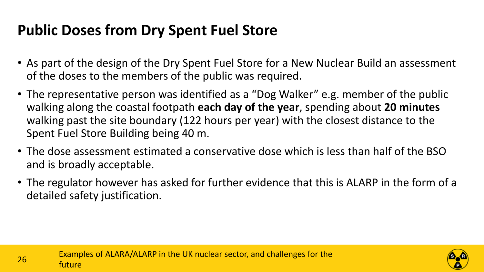## **Public Doses from Dry Spent Fuel Store**

- As part of the design of the Dry Spent Fuel Store for a New Nuclear Build an assessment of the doses to the members of the public was required.
- The representative person was identified as a "Dog Walker" e.g. member of the public walking along the coastal footpath **each day of the year**, spending about **20 minutes**  walking past the site boundary (122 hours per year) with the closest distance to the Spent Fuel Store Building being 40 m.
- The dose assessment estimated a conservative dose which is less than half of the BSO and is broadly acceptable.
- The regulator however has asked for further evidence that this is ALARP in the form of a detailed safety justification.

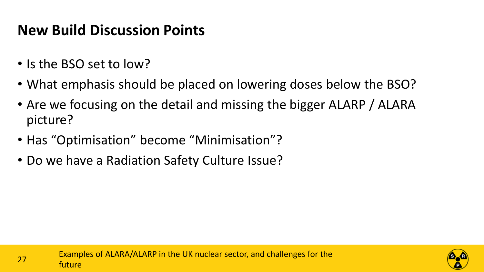## **New Build Discussion Points**

- Is the BSO set to low?
- What emphasis should be placed on lowering doses below the BSO?
- Are we focusing on the detail and missing the bigger ALARP / ALARA picture?
- Has "Optimisation" become "Minimisation"?
- Do we have a Radiation Safety Culture Issue?